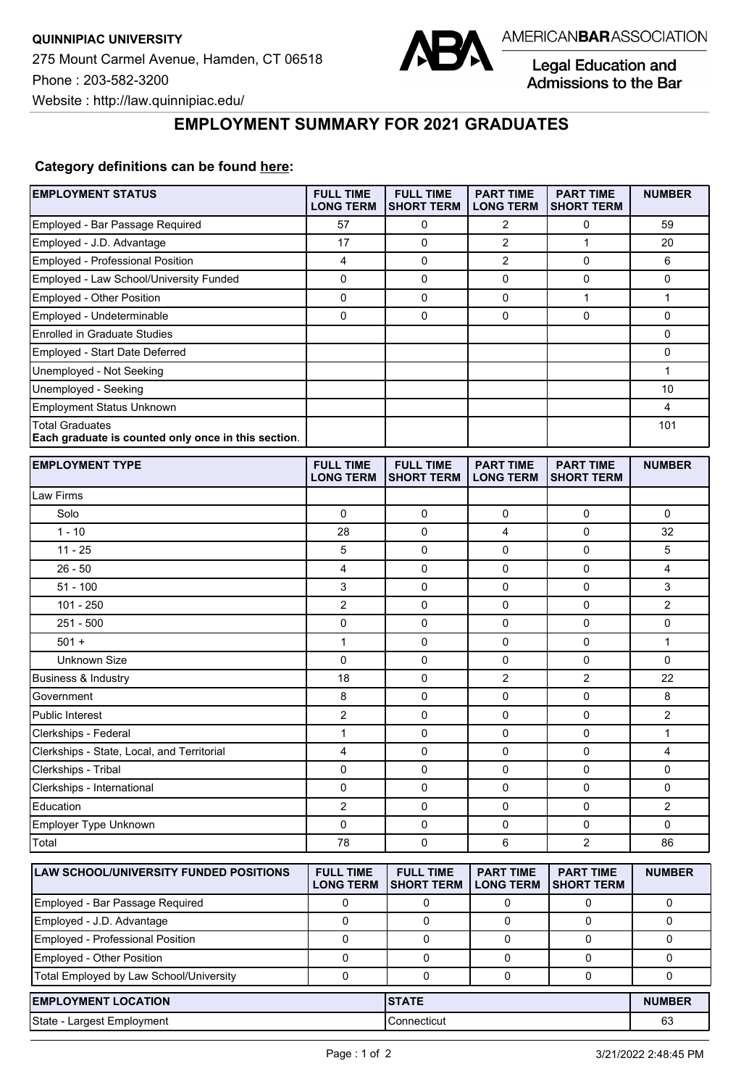

Legal Education and Admissions to the Bar

## **EMPLOYMENT SUMMARY FOR 2021 GRADUATES**

## **Category definitions can be found [here:](https://www.americanbar.org/content/dam/aba/administrative/legal_education_and_admissions_to_the_bar/Questionnaires/2021/2022-employment-protocols-for-the-class-of-2021-september-2021.pdf)**

| <b>EMPLOYMENT STATUS</b>                                                      | <b>FULL TIME</b><br><b>LONG TERM</b> | <b>FULL TIME</b><br><b>SHORT TERM</b> | <b>PART TIME</b><br><b>LONG TERM</b> | <b>PART TIME</b><br><b>SHORT TERM</b> | <b>NUMBER</b>           |
|-------------------------------------------------------------------------------|--------------------------------------|---------------------------------------|--------------------------------------|---------------------------------------|-------------------------|
| Employed - Bar Passage Required                                               | 57                                   | 0                                     | 2                                    | 0                                     | 59                      |
| Employed - J.D. Advantage                                                     | 17                                   | 0                                     | $\overline{c}$                       | $\mathbf{1}$                          | 20                      |
| Employed - Professional Position                                              | $\overline{\mathbf{4}}$              | 0                                     | $\overline{2}$                       | 0                                     | 6                       |
| Employed - Law School/University Funded                                       | $\mathbf 0$                          | $\mathbf 0$                           | $\mathbf 0$                          | 0                                     | 0                       |
| Employed - Other Position                                                     | $\mathbf 0$                          | $\mathbf 0$                           | $\mathbf 0$                          | $\mathbf{1}$                          | 1                       |
| Employed - Undeterminable                                                     | $\mathbf 0$                          | 0                                     | 0                                    | 0                                     | 0                       |
| <b>Enrolled in Graduate Studies</b>                                           |                                      |                                       |                                      |                                       | 0                       |
| Employed - Start Date Deferred                                                |                                      |                                       |                                      |                                       | 0                       |
| Unemployed - Not Seeking                                                      |                                      |                                       |                                      |                                       | $\mathbf{1}$            |
| Unemployed - Seeking                                                          |                                      |                                       |                                      |                                       | 10                      |
| <b>Employment Status Unknown</b>                                              |                                      |                                       |                                      |                                       | 4                       |
| <b>Total Graduates</b><br>Each graduate is counted only once in this section. |                                      |                                       |                                      |                                       | 101                     |
| <b>EMPLOYMENT TYPE</b>                                                        | <b>FULL TIME</b><br><b>LONG TERM</b> | <b>FULL TIME</b><br><b>SHORT TERM</b> | <b>PART TIME</b><br><b>LONG TERM</b> | <b>PART TIME</b><br><b>SHORT TERM</b> | <b>NUMBER</b>           |
| Law Firms                                                                     |                                      |                                       |                                      |                                       |                         |
| Solo                                                                          | $\mathbf 0$                          | 0                                     | $\mathbf 0$                          | 0                                     | 0                       |
| $1 - 10$                                                                      | 28                                   | 0                                     | 4                                    | 0                                     | 32                      |
| $11 - 25$                                                                     | 5                                    | 0                                     | 0                                    | 0                                     | 5                       |
| $26 - 50$                                                                     | 4                                    | $\mathbf 0$                           | 0                                    | 0                                     | 4                       |
| $51 - 100$                                                                    | 3                                    | 0                                     | $\mathbf 0$                          | 0                                     | 3                       |
| $101 - 250$                                                                   | $\overline{2}$                       | 0                                     | 0                                    | 0                                     | 2                       |
| $251 - 500$                                                                   | 0                                    | 0                                     | $\mathbf 0$                          | 0                                     | 0                       |
| $501 +$                                                                       | $\mathbf{1}$                         | $\mathbf 0$                           | $\mathbf 0$                          | 0                                     | $\mathbf{1}$            |
| Unknown Size                                                                  | $\mathbf 0$                          | $\mathbf 0$                           | $\mathbf 0$                          | 0                                     | 0                       |
| <b>Business &amp; Industry</b>                                                | 18                                   | 0                                     | 2                                    | $\overline{2}$                        | 22                      |
| Government                                                                    | 8                                    | 0                                     | 0                                    | 0                                     | 8                       |
| Public Interest                                                               | $\overline{c}$                       | 0                                     | 0                                    | 0                                     | 2                       |
| Clerkships - Federal                                                          | 1                                    | $\mathbf 0$                           | 0                                    | 0                                     | $\mathbf{1}$            |
| Clerkships - State, Local, and Territorial                                    | 4                                    | 0                                     | $\mathbf 0$                          | 0                                     | 4                       |
| Clerkships - Tribal                                                           | 0                                    | 0                                     | 0                                    | 0                                     | 0                       |
| Clerkships - International                                                    | 0                                    | 0                                     | 0                                    | 0                                     | 0                       |
| Education                                                                     | $\overline{\mathbf{c}}$              | 0                                     | 0                                    | 0                                     | $\overline{\mathbf{c}}$ |
| Employer Type Unknown                                                         | 0                                    | 0                                     | 0                                    | 0                                     | 0                       |
| Total                                                                         | 78                                   | 0                                     | 6                                    | $\overline{c}$                        | 86                      |
| LAW SCHOOL/UNIVERSITY FUNDED POSITIONS                                        | <b>FULL TIME</b><br><b>LONG TERM</b> | <b>FULL TIME</b><br><b>SHORT TERM</b> | <b>PART TIME</b><br><b>LONG TERM</b> | <b>PART TIME</b><br><b>SHORT TERM</b> | <b>NUMBER</b>           |
| Employed - Bar Passage Required                                               | 0                                    | 0                                     | 0                                    | 0                                     | 0                       |
| Employed - J.D. Advantage                                                     | $\mathbf 0$                          | 0                                     | 0                                    | 0                                     | 0                       |
| Employed - Professional Position                                              | $\mathbf 0$                          | 0                                     | 0                                    | 0                                     | 0                       |
| Employed - Other Position                                                     | 0                                    | 0                                     | 0                                    | 0                                     | 0                       |
| Total Employed by Law School/University                                       | 0                                    | 0                                     | $\mathbf 0$                          | 0                                     | 0                       |
| <b>EMPLOYMENT LOCATION</b>                                                    |                                      |                                       | <b>STATE</b>                         |                                       |                         |
| State - Largest Employment                                                    |                                      | Connecticut                           |                                      |                                       | 63                      |
|                                                                               |                                      |                                       |                                      |                                       |                         |